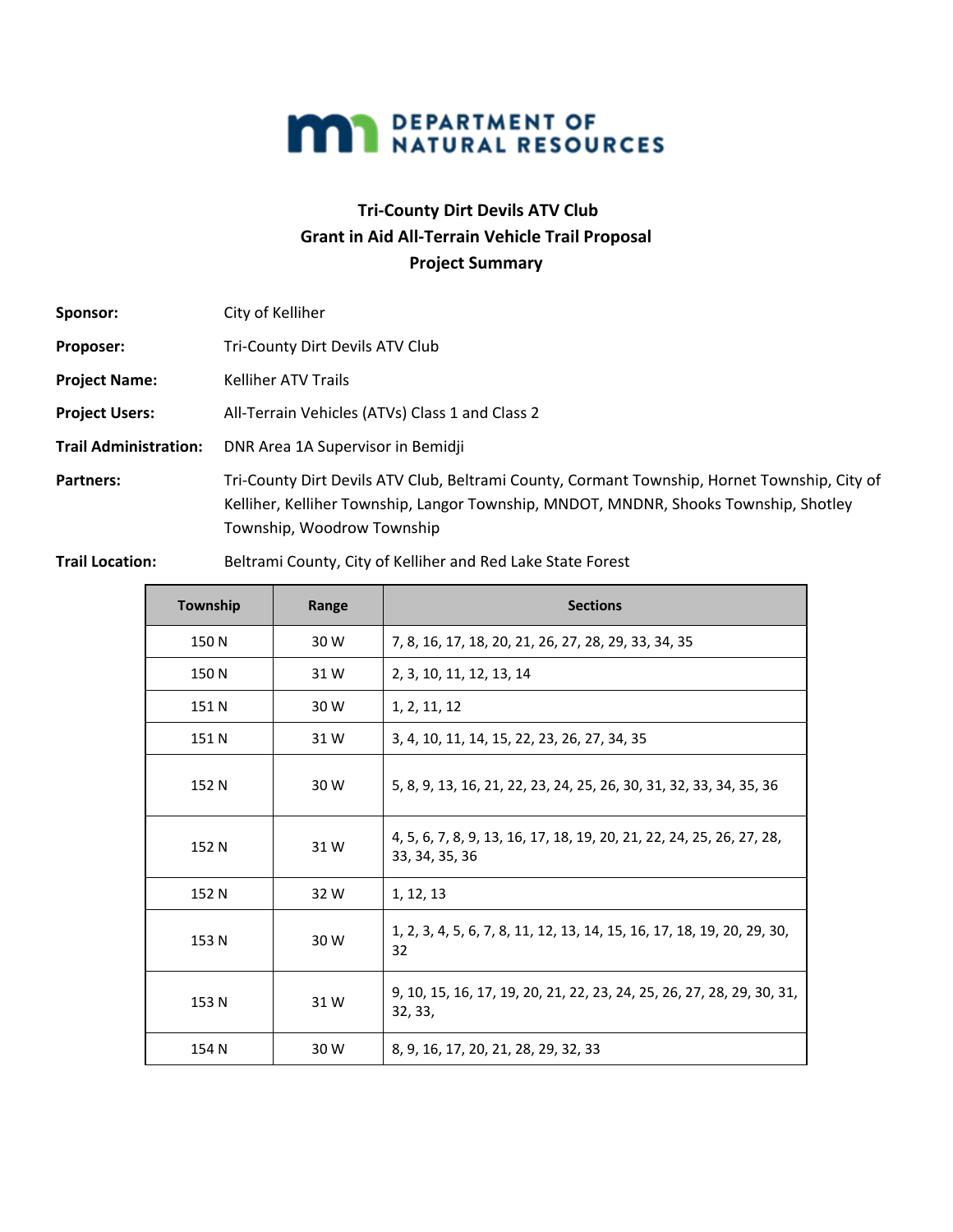

## **Tri-County Dirt Devils ATV Club Grant in Aid All-Terrain Vehicle Trail Proposal Project Summary**

| Sponsor:                     | City of Kelliher                                                                                                                                                                                                   |  |  |
|------------------------------|--------------------------------------------------------------------------------------------------------------------------------------------------------------------------------------------------------------------|--|--|
| Proposer:                    | Tri-County Dirt Devils ATV Club                                                                                                                                                                                    |  |  |
| <b>Project Name:</b>         | <b>Kelliher ATV Trails</b>                                                                                                                                                                                         |  |  |
| <b>Project Users:</b>        | All-Terrain Vehicles (ATVs) Class 1 and Class 2                                                                                                                                                                    |  |  |
| <b>Trail Administration:</b> | DNR Area 1A Supervisor in Bemidji                                                                                                                                                                                  |  |  |
| <b>Partners:</b>             | Tri-County Dirt Devils ATV Club, Beltrami County, Cormant Township, Hornet Township, City of<br>Kelliher, Kelliher Township, Langor Township, MNDOT, MNDNR, Shooks Township, Shotley<br>Township, Woodrow Township |  |  |

**Trail Location:** Beltrami County, City of Kelliher and Red Lake State Forest

| Township | Range | <b>Sections</b>                                                                         |
|----------|-------|-----------------------------------------------------------------------------------------|
| 150 N    | 30 W  | 7, 8, 16, 17, 18, 20, 21, 26, 27, 28, 29, 33, 34, 35                                    |
| 150 N    | 31W   | 2, 3, 10, 11, 12, 13, 14                                                                |
| 151 N    | 30 W  | 1, 2, 11, 12                                                                            |
| 151 N    | 31W   | 3, 4, 10, 11, 14, 15, 22, 23, 26, 27, 34, 35                                            |
| 152 N    | 30 W  | 5, 8, 9, 13, 16, 21, 22, 23, 24, 25, 26, 30, 31, 32, 33, 34, 35, 36                     |
| 152 N    | 31W   | 4, 5, 6, 7, 8, 9, 13, 16, 17, 18, 19, 20, 21, 22, 24, 25, 26, 27, 28,<br>33, 34, 35, 36 |
| 152 N    | 32 W  | 1, 12, 13                                                                               |
| 153 N    | 30 W  | 1, 2, 3, 4, 5, 6, 7, 8, 11, 12, 13, 14, 15, 16, 17, 18, 19, 20, 29, 30,<br>32           |
| 153 N    | 31W   | 9, 10, 15, 16, 17, 19, 20, 21, 22, 23, 24, 25, 26, 27, 28, 29, 30, 31,<br>32, 33,       |
| 154 N    | 30 W  | 8, 9, 16, 17, 20, 21, 28, 29, 32, 33                                                    |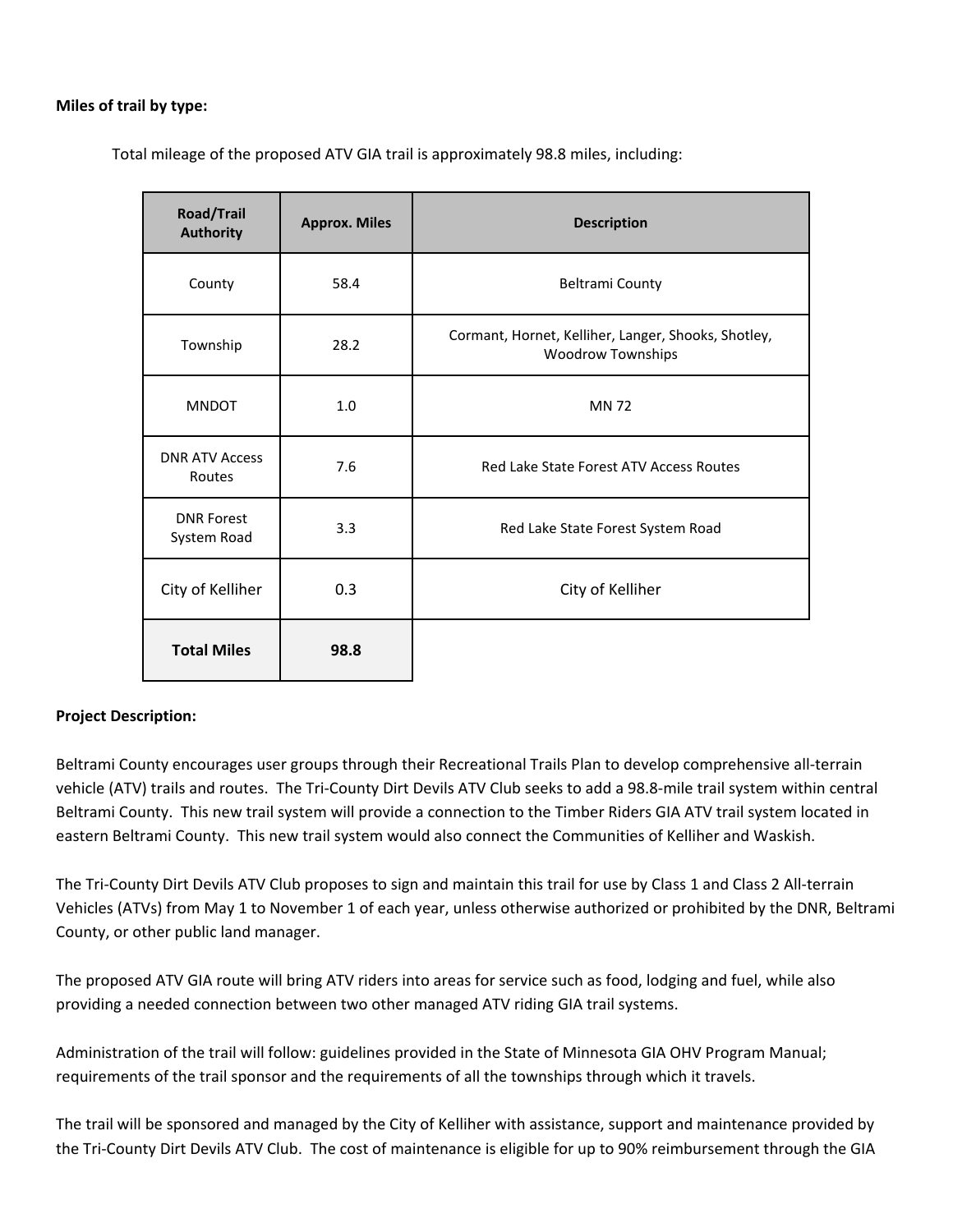## **Miles of trail by type:**

Total mileage of the proposed ATV GIA trail is approximately 98.8 miles, including:

| <b>Road/Trail</b><br><b>Authority</b> | <b>Approx. Miles</b> | <b>Description</b>                                                              |
|---------------------------------------|----------------------|---------------------------------------------------------------------------------|
| County                                | 58.4                 | <b>Beltrami County</b>                                                          |
| Township                              | 28.2                 | Cormant, Hornet, Kelliher, Langer, Shooks, Shotley,<br><b>Woodrow Townships</b> |
| <b>MNDOT</b>                          | 1.0                  | <b>MN72</b>                                                                     |
| <b>DNR ATV Access</b><br>Routes       | 7.6                  | Red Lake State Forest ATV Access Routes                                         |
| <b>DNR Forest</b><br>System Road      | 3.3                  | Red Lake State Forest System Road                                               |
| City of Kelliher                      | 0.3                  | City of Kelliher                                                                |
| <b>Total Miles</b>                    | 98.8                 |                                                                                 |

## **Project Description:**

Beltrami County encourages user groups through their Recreational Trails Plan to develop comprehensive all-terrain vehicle (ATV) trails and routes. The Tri-County Dirt Devils ATV Club seeks to add a 98.8-mile trail system within central Beltrami County. This new trail system will provide a connection to the Timber Riders GIA ATV trail system located in eastern Beltrami County. This new trail system would also connect the Communities of Kelliher and Waskish.

The Tri-County Dirt Devils ATV Club proposes to sign and maintain this trail for use by Class 1 and Class 2 All-terrain Vehicles (ATVs) from May 1 to November 1 of each year, unless otherwise authorized or prohibited by the DNR, Beltrami County, or other public land manager.

The proposed ATV GIA route will bring ATV riders into areas for service such as food, lodging and fuel, while also providing a needed connection between two other managed ATV riding GIA trail systems.

Administration of the trail will follow: guidelines provided in the State of Minnesota GIA OHV Program Manual; requirements of the trail sponsor and the requirements of all the townships through which it travels.

The trail will be sponsored and managed by the City of Kelliher with assistance, support and maintenance provided by the Tri-County Dirt Devils ATV Club. The cost of maintenance is eligible for up to 90% reimbursement through the GIA